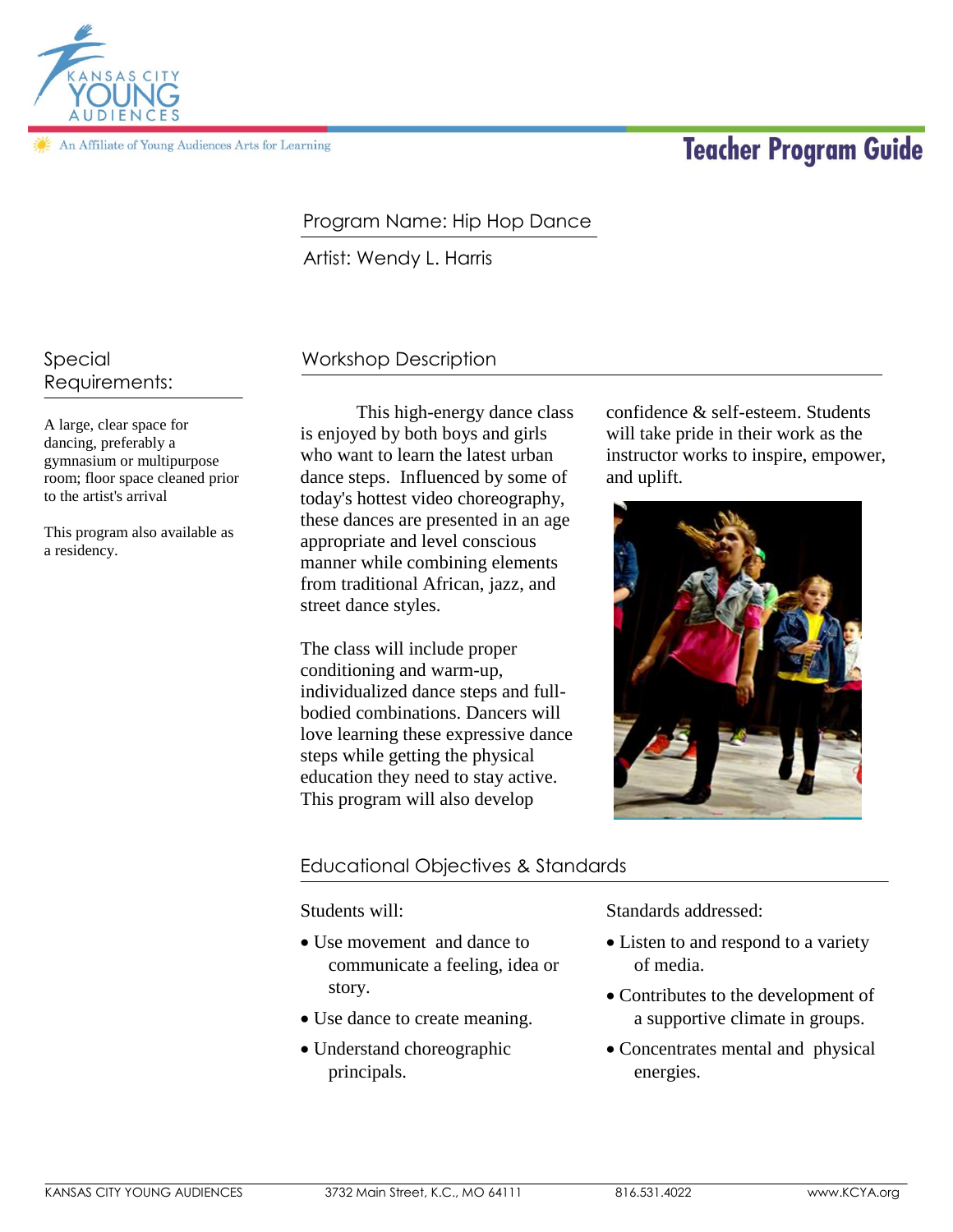

An Affiliate of Young Audiences Arts for Learning

# **Teacher Program Guide**

# Program Name: Hip Hop Dance

Artist: Wendy L. Harris

Special Requirements:

A large, clear space for dancing, preferably a gymnasium or multipurpose room; floor space cleaned prior to the artist's arrival

This program also available as a residency.

# Workshop Description

This high-energy dance class is enjoyed by both boys and girls who want to learn the latest urban dance steps. Influenced by some of today's hottest video choreography, these dances are presented in an age appropriate and level conscious manner while combining elements from traditional African, jazz, and street dance styles.

The class will include proper conditioning and warm-up, individualized dance steps and fullbodied combinations. Dancers will love learning these expressive dance steps while getting the physical education they need to stay active. This program will also develop

confidence & self-esteem. Students will take pride in their work as the instructor works to inspire, empower, and uplift.



## Educational Objectives & Standards

Students will:

- Use movement and dance to communicate a feeling, idea or story.
- Use dance to create meaning.
- Understand choreographic principals.

Standards addressed:

- Listen to and respond to a variety of media.
- Contributes to the development of a supportive climate in groups.
- Concentrates mental and physical energies.